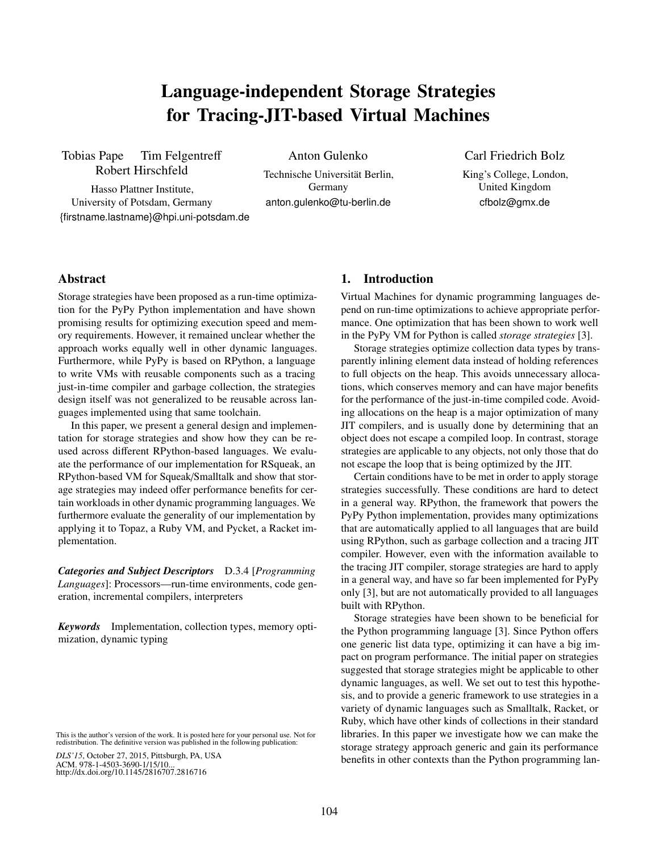# Language-independent Storage Strategies for Tracing-JIT-based Virtual Machines

Tobias Pape Tim Felgentreff Robert Hirschfeld

Anton Gulenko

Hasso Plattner Institute, University of Potsdam, Germany {firstname.lastname}@hpi.uni-potsdam.de

Technische Universität Berlin, Germany anton.gulenko@tu-berlin.de

## Carl Friedrich Bolz

King's College, London, United Kingdom cfbolz@gmx.de

## Abstract

Storage strategies have been proposed as a run-time optimization for the PyPy Python implementation and have shown promising results for optimizing execution speed and memory requirements. However, it remained unclear whether the approach works equally well in other dynamic languages. Furthermore, while PyPy is based on RPython, a language to write VMs with reusable components such as a tracing just-in-time compiler and garbage collection, the strategies design itself was not generalized to be reusable across languages implemented using that same toolchain.

In this paper, we present a general design and implementation for storage strategies and show how they can be reused across different RPython-based languages. We evaluate the performance of our implementation for RSqueak, an RPython-based VM for Squeak/Smalltalk and show that storage strategies may indeed offer performance benefits for certain workloads in other dynamic programming languages. We furthermore evaluate the generality of our implementation by applying it to Topaz, a Ruby VM, and Pycket, a Racket implementation.

*Categories and Subject Descriptors* D.3.4 [*Programming Languages*]: Processors—run-time environments, code generation, incremental compilers, interpreters

*Keywords* Implementation, collection types, memory optimization, dynamic typing

*DLS'15*, October 27, 2015, Pittsburgh, PA, USA ACM. 978-1-4503-3690-1/15/10... http://dx.doi.org/10.1145/2816707.2816716

# 1. Introduction

Virtual Machines for dynamic programming languages depend on run-time optimizations to achieve appropriate performance. One optimization that has been shown to work well in the PyPy VM for Python is called *storage strategies* [\[3\]](#page-9-0).

Storage strategies optimize collection data types by transparently inlining element data instead of holding references to full objects on the heap. This avoids unnecessary allocations, which conserves memory and can have major benefits for the performance of the just-in-time compiled code. Avoiding allocations on the heap is a major optimization of many JIT compilers, and is usually done by determining that an object does not escape a compiled loop. In contrast, storage strategies are applicable to any objects, not only those that do not escape the loop that is being optimized by the JIT.

Certain conditions have to be met in order to apply storage strategies successfully. These conditions are hard to detect in a general way. RPython, the framework that powers the PyPy Python implementation, provides many optimizations that are automatically applied to all languages that are build using RPython, such as garbage collection and a tracing JIT compiler. However, even with the information available to the tracing JIT compiler, storage strategies are hard to apply in a general way, and have so far been implemented for PyPy only [\[3\]](#page-9-0), but are not automatically provided to all languages built with RPython.

Storage strategies have been shown to be beneficial for the Python programming language [\[3\]](#page-9-0). Since Python offers one generic list data type, optimizing it can have a big impact on program performance. The initial paper on strategies suggested that storage strategies might be applicable to other dynamic languages, as well. We set out to test this hypothesis, and to provide a generic framework to use strategies in a variety of dynamic languages such as Smalltalk, Racket, or Ruby, which have other kinds of collections in their standard libraries. In this paper we investigate how we can make the storage strategy approach generic and gain its performance benefits in other contexts than the Python programming lan-

This is the author's version of the work. It is posted here for your personal use. Not for redistribution. The definitive version was published in the following publication: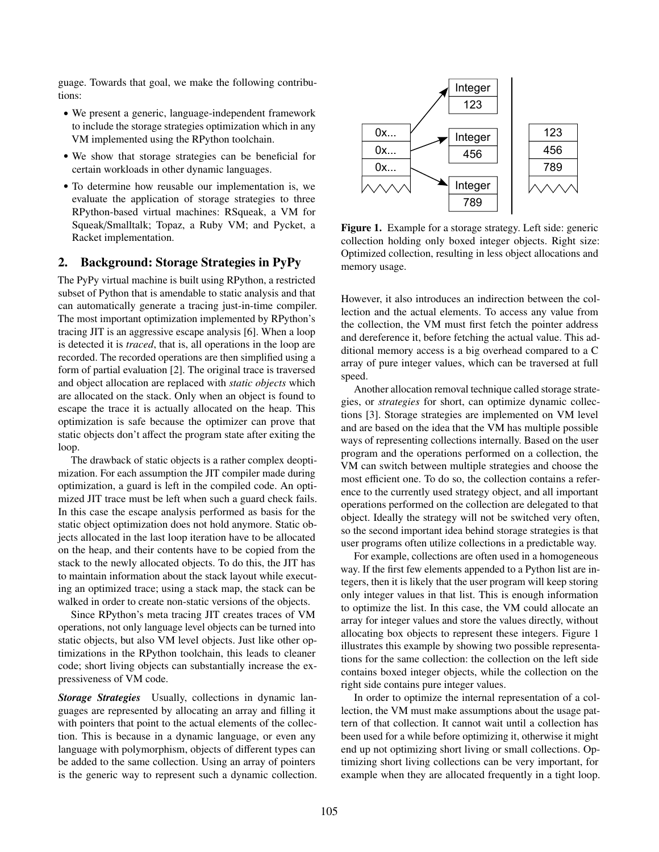guage. Towards that goal, we make the following contributions:

- We present a generic, language-independent framework to include the storage strategies optimization which in any VM implemented using the RPython toolchain.
- We show that storage strategies can be beneficial for certain workloads in other dynamic languages.
- To determine how reusable our implementation is, we evaluate the application of storage strategies to three RPython-based virtual machines: RSqueak, a VM for Squeak/Smalltalk; Topaz, a Ruby VM; and Pycket, a Racket implementation.

# 2. Background: Storage Strategies in PyPy

The PyPy virtual machine is built using RPython, a restricted subset of Python that is amendable to static analysis and that can automatically generate a tracing just-in-time compiler. The most important optimization implemented by RPython's tracing JIT is an aggressive escape analysis [\[6\]](#page-9-1). When a loop is detected it is *traced*, that is, all operations in the loop are recorded. The recorded operations are then simplified using a form of partial evaluation [\[2\]](#page-9-2). The original trace is traversed and object allocation are replaced with *static objects* which are allocated on the stack. Only when an object is found to escape the trace it is actually allocated on the heap. This optimization is safe because the optimizer can prove that static objects don't affect the program state after exiting the loop.

The drawback of static objects is a rather complex deoptimization. For each assumption the JIT compiler made during optimization, a guard is left in the compiled code. An optimized JIT trace must be left when such a guard check fails. In this case the escape analysis performed as basis for the static object optimization does not hold anymore. Static objects allocated in the last loop iteration have to be allocated on the heap, and their contents have to be copied from the stack to the newly allocated objects. To do this, the JIT has to maintain information about the stack layout while executing an optimized trace; using a stack map, the stack can be walked in order to create non-static versions of the objects.

Since RPython's meta tracing JIT creates traces of VM operations, not only language level objects can be turned into static objects, but also VM level objects. Just like other optimizations in the RPython toolchain, this leads to cleaner code; short living objects can substantially increase the expressiveness of VM code.

<span id="page-1-1"></span>*Storage Strategies* Usually, collections in dynamic languages are represented by allocating an array and filling it with pointers that point to the actual elements of the collection. This is because in a dynamic language, or even any language with polymorphism, objects of different types can be added to the same collection. Using an array of pointers is the generic way to represent such a dynamic collection.



<span id="page-1-0"></span>Figure 1. Example for a storage strategy. Left side: generic collection holding only boxed integer objects. Right size: Optimized collection, resulting in less object allocations and memory usage.

However, it also introduces an indirection between the collection and the actual elements. To access any value from the collection, the VM must first fetch the pointer address and dereference it, before fetching the actual value. This additional memory access is a big overhead compared to a C array of pure integer values, which can be traversed at full speed.

Another allocation removal technique called storage strategies, or *strategies* for short, can optimize dynamic collections [\[3\]](#page-9-0). Storage strategies are implemented on VM level and are based on the idea that the VM has multiple possible ways of representing collections internally. Based on the user program and the operations performed on a collection, the VM can switch between multiple strategies and choose the most efficient one. To do so, the collection contains a reference to the currently used strategy object, and all important operations performed on the collection are delegated to that object. Ideally the strategy will not be switched very often, so the second important idea behind storage strategies is that user programs often utilize collections in a predictable way.

For example, collections are often used in a homogeneous way. If the first few elements appended to a Python list are integers, then it is likely that the user program will keep storing only integer values in that list. This is enough information to optimize the list. In this case, the VM could allocate an array for integer values and store the values directly, without allocating box objects to represent these integers. Figure [1](#page-1-0) illustrates this example by showing two possible representations for the same collection: the collection on the left side contains boxed integer objects, while the collection on the right side contains pure integer values.

In order to optimize the internal representation of a collection, the VM must make assumptions about the usage pattern of that collection. It cannot wait until a collection has been used for a while before optimizing it, otherwise it might end up not optimizing short living or small collections. Optimizing short living collections can be very important, for example when they are allocated frequently in a tight loop.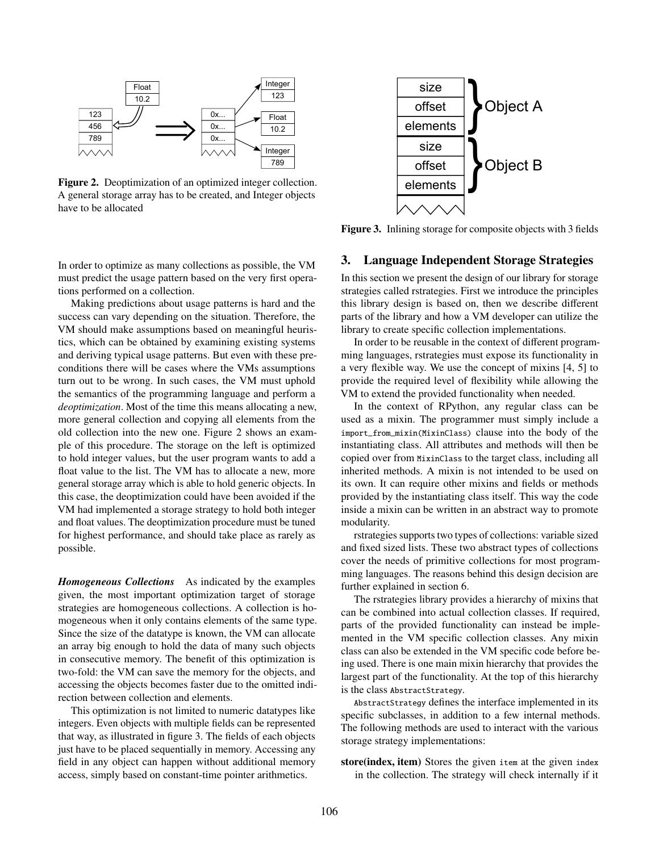

<span id="page-2-0"></span>Figure 2. Deoptimization of an optimized integer collection. A general storage array has to be created, and Integer objects have to be allocated



<span id="page-2-1"></span>Figure 3. Inlining storage for composite objects with 3 fields

## In order to optimize as many collections as possible, the VM must predict the usage pattern based on the very first operations performed on a collection.

Making predictions about usage patterns is hard and the success can vary depending on the situation. Therefore, the VM should make assumptions based on meaningful heuristics, which can be obtained by examining existing systems and deriving typical usage patterns. But even with these preconditions there will be cases where the VMs assumptions turn out to be wrong. In such cases, the VM must uphold the semantics of the programming language and perform a *deoptimization*. Most of the time this means allocating a new, more general collection and copying all elements from the old collection into the new one. Figure [2](#page-2-0) shows an example of this procedure. The storage on the left is optimized to hold integer values, but the user program wants to add a float value to the list. The VM has to allocate a new, more general storage array which is able to hold generic objects. In this case, the deoptimization could have been avoided if the VM had implemented a storage strategy to hold both integer and float values. The deoptimization procedure must be tuned for highest performance, and should take place as rarely as possible.

*Homogeneous Collections* As indicated by the examples given, the most important optimization target of storage strategies are homogeneous collections. A collection is homogeneous when it only contains elements of the same type. Since the size of the datatype is known, the VM can allocate an array big enough to hold the data of many such objects in consecutive memory. The benefit of this optimization is two-fold: the VM can save the memory for the objects, and accessing the objects becomes faster due to the omitted indirection between collection and elements.

This optimization is not limited to numeric datatypes like integers. Even objects with multiple fields can be represented that way, as illustrated in figure [3.](#page-2-1) The fields of each objects just have to be placed sequentially in memory. Accessing any field in any object can happen without additional memory access, simply based on constant-time pointer arithmetics.

#### 3. Language Independent Storage Strategies

In this section we present the design of our library for storage strategies called rstrategies. First we introduce the principles this library design is based on, then we describe different parts of the library and how a VM developer can utilize the library to create specific collection implementations.

In order to be reusable in the context of different programming languages, rstrategies must expose its functionality in a very flexible way. We use the concept of mixins [\[4,](#page-9-3) [5\]](#page-9-4) to provide the required level of flexibility while allowing the VM to extend the provided functionality when needed.

In the context of RPython, any regular class can be used as a mixin. The programmer must simply include a import\_from\_mixin(MixinClass) clause into the body of the instantiating class. All attributes and methods will then be copied over from MixinClass to the target class, including all inherited methods. A mixin is not intended to be used on its own. It can require other mixins and fields or methods provided by the instantiating class itself. This way the code inside a mixin can be written in an abstract way to promote modularity.

rstrategies supports two types of collections: variable sized and fixed sized lists. These two abstract types of collections cover the needs of primitive collections for most programming languages. The reasons behind this design decision are further explained in [section 6.](#page-8-0)

The rstrategies library provides a hierarchy of mixins that can be combined into actual collection classes. If required, parts of the provided functionality can instead be implemented in the VM specific collection classes. Any mixin class can also be extended in the VM specific code before being used. There is one main mixin hierarchy that provides the largest part of the functionality. At the top of this hierarchy is the class AbstractStrategy.

AbstractStrategy defines the interface implemented in its specific subclasses, in addition to a few internal methods. The following methods are used to interact with the various storage strategy implementations:

store(index, item) Stores the given item at the given index in the collection. The strategy will check internally if it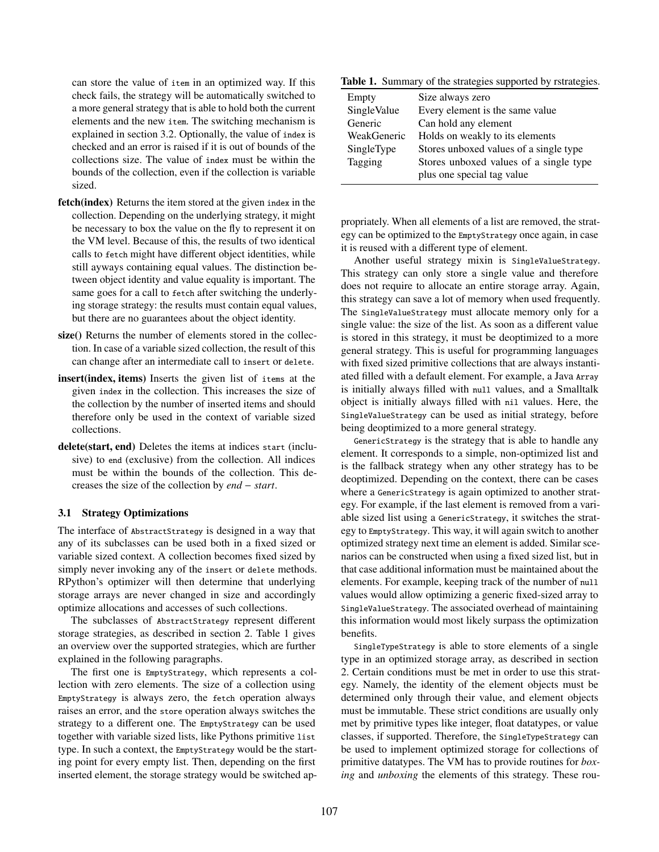can store the value of item in an optimized way. If this check fails, the strategy will be automatically switched to a more general strategy that is able to hold both the current elements and the new item. The switching mechanism is explained in section [3.2.](#page-4-0) Optionally, the value of index is checked and an error is raised if it is out of bounds of the collections size. The value of index must be within the bounds of the collection, even if the collection is variable sized.

- fetch(index) Returns the item stored at the given index in the collection. Depending on the underlying strategy, it might be necessary to box the value on the fly to represent it on the VM level. Because of this, the results of two identical calls to fetch might have different object identities, while still ayways containing equal values. The distinction between object identity and value equality is important. The same goes for a call to fetch after switching the underlying storage strategy: the results must contain equal values, but there are no guarantees about the object identity.
- size() Returns the number of elements stored in the collection. In case of a variable sized collection, the result of this can change after an intermediate call to insert or delete.
- insert(index, items) Inserts the given list of items at the given index in the collection. This increases the size of the collection by the number of inserted items and should therefore only be used in the context of variable sized collections.
- delete(start, end) Deletes the items at indices start (inclusive) to end (exclusive) from the collection. All indices must be within the bounds of the collection. This decreases the size of the collection by *end* − *start*.

#### <span id="page-3-1"></span>3.1 Strategy Optimizations

The interface of AbstractStrategy is designed in a way that any of its subclasses can be used both in a fixed sized or variable sized context. A collection becomes fixed sized by simply never invoking any of the insert or delete methods. RPython's optimizer will then determine that underlying storage arrays are never changed in size and accordingly optimize allocations and accesses of such collections.

The subclasses of AbstractStrategy represent different storage strategies, as described in [section 2.](#page-1-1) Table [1](#page-3-0) gives an overview over the supported strategies, which are further explained in the following paragraphs.

The first one is EmptyStrategy, which represents a collection with zero elements. The size of a collection using EmptyStrategy is always zero, the fetch operation always raises an error, and the store operation always switches the strategy to a different one. The EmptyStrategy can be used together with variable sized lists, like Pythons primitive list type. In such a context, the EmptyStrategy would be the starting point for every empty list. Then, depending on the first inserted element, the storage strategy would be switched ap-

Table 1. Summary of the strategies supported by rstrategies.

<span id="page-3-0"></span>

| Empty       | Size always zero                       |
|-------------|----------------------------------------|
| SingleValue | Every element is the same value        |
| Generic     | Can hold any element                   |
| WeakGeneric | Holds on weakly to its elements        |
| SingleType  | Stores unboxed values of a single type |
| Tagging     | Stores unboxed values of a single type |
|             | plus one special tag value             |

propriately. When all elements of a list are removed, the strategy can be optimized to the EmptyStrategy once again, in case it is reused with a different type of element.

Another useful strategy mixin is SingleValueStrategy. This strategy can only store a single value and therefore does not require to allocate an entire storage array. Again, this strategy can save a lot of memory when used frequently. The SingleValueStrategy must allocate memory only for a single value: the size of the list. As soon as a different value is stored in this strategy, it must be deoptimized to a more general strategy. This is useful for programming languages with fixed sized primitive collections that are always instantiated filled with a default element. For example, a Java Array is initially always filled with null values, and a Smalltalk object is initially always filled with nil values. Here, the SingleValueStrategy can be used as initial strategy, before being deoptimized to a more general strategy.

GenericStrategy is the strategy that is able to handle any element. It corresponds to a simple, non-optimized list and is the fallback strategy when any other strategy has to be deoptimized. Depending on the context, there can be cases where a GenericStrategy is again optimized to another strategy. For example, if the last element is removed from a variable sized list using a GenericStrategy, it switches the strategy to EmptyStrategy. This way, it will again switch to another optimized strategy next time an element is added. Similar scenarios can be constructed when using a fixed sized list, but in that case additional information must be maintained about the elements. For example, keeping track of the number of null values would allow optimizing a generic fixed-sized array to SingleValueStrategy. The associated overhead of maintaining this information would most likely surpass the optimization benefits.

SingleTypeStrategy is able to store elements of a single type in an optimized storage array, as described in section [2.](#page-1-1) Certain conditions must be met in order to use this strategy. Namely, the identity of the element objects must be determined only through their value, and element objects must be immutable. These strict conditions are usually only met by primitive types like integer, float datatypes, or value classes, if supported. Therefore, the SingleTypeStrategy can be used to implement optimized storage for collections of primitive datatypes. The VM has to provide routines for *boxing* and *unboxing* the elements of this strategy. These rou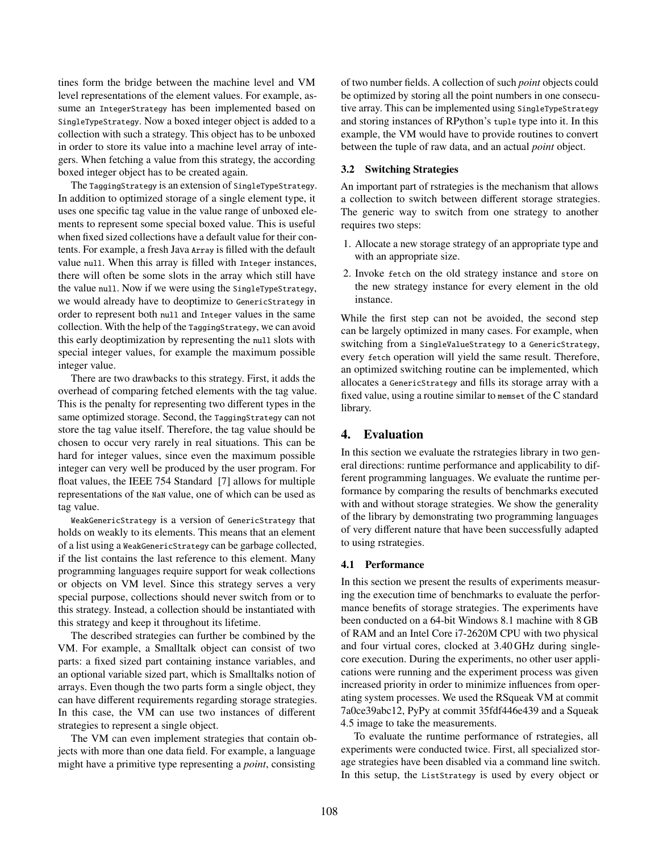tines form the bridge between the machine level and VM level representations of the element values. For example, assume an IntegerStrategy has been implemented based on SingleTypeStrategy. Now a boxed integer object is added to a collection with such a strategy. This object has to be unboxed in order to store its value into a machine level array of integers. When fetching a value from this strategy, the according boxed integer object has to be created again.

The TaggingStrategy is an extension of SingleTypeStrategy. In addition to optimized storage of a single element type, it uses one specific tag value in the value range of unboxed elements to represent some special boxed value. This is useful when fixed sized collections have a default value for their contents. For example, a fresh Java Array is filled with the default value null. When this array is filled with Integer instances, there will often be some slots in the array which still have the value null. Now if we were using the SingleTypeStrategy, we would already have to deoptimize to GenericStrategy in order to represent both null and Integer values in the same collection. With the help of the TaggingStrategy, we can avoid this early deoptimization by representing the null slots with special integer values, for example the maximum possible integer value.

There are two drawbacks to this strategy. First, it adds the overhead of comparing fetched elements with the tag value. This is the penalty for representing two different types in the same optimized storage. Second, the TaggingStrategy can not store the tag value itself. Therefore, the tag value should be chosen to occur very rarely in real situations. This can be hard for integer values, since even the maximum possible integer can very well be produced by the user program. For float values, the IEEE 754 Standard [\[7\]](#page-9-5) allows for multiple representations of the NaN value, one of which can be used as tag value.

WeakGenericStrategy is a version of GenericStrategy that holds on weakly to its elements. This means that an element of a list using a WeakGenericStrategy can be garbage collected, if the list contains the last reference to this element. Many programming languages require support for weak collections or objects on VM level. Since this strategy serves a very special purpose, collections should never switch from or to this strategy. Instead, a collection should be instantiated with this strategy and keep it throughout its lifetime.

The described strategies can further be combined by the VM. For example, a Smalltalk object can consist of two parts: a fixed sized part containing instance variables, and an optional variable sized part, which is Smalltalks notion of arrays. Even though the two parts form a single object, they can have different requirements regarding storage strategies. In this case, the VM can use two instances of different strategies to represent a single object.

The VM can even implement strategies that contain objects with more than one data field. For example, a language might have a primitive type representing a *point*, consisting of two number fields. A collection of such *point* objects could be optimized by storing all the point numbers in one consecutive array. This can be implemented using SingleTypeStrategy and storing instances of RPython's tuple type into it. In this example, the VM would have to provide routines to convert between the tuple of raw data, and an actual *point* object.

#### <span id="page-4-0"></span>3.2 Switching Strategies

An important part of rstrategies is the mechanism that allows a collection to switch between different storage strategies. The generic way to switch from one strategy to another requires two steps:

- 1. Allocate a new storage strategy of an appropriate type and with an appropriate size.
- 2. Invoke fetch on the old strategy instance and store on the new strategy instance for every element in the old instance.

While the first step can not be avoided, the second step can be largely optimized in many cases. For example, when switching from a SingleValueStrategy to a GenericStrategy, every fetch operation will yield the same result. Therefore, an optimized switching routine can be implemented, which allocates a GenericStrategy and fills its storage array with a fixed value, using a routine similar to memset of the C standard library.

# 4. Evaluation

In this section we evaluate the rstrategies library in two general directions: runtime performance and applicability to different programming languages. We evaluate the runtime performance by comparing the results of benchmarks executed with and without storage strategies. We show the generality of the library by demonstrating two programming languages of very different nature that have been successfully adapted to using rstrategies.

#### 4.1 Performance

In this section we present the results of experiments measuring the execution time of benchmarks to evaluate the performance benefits of storage strategies. The experiments have been conducted on a 64-bit Windows 8.1 machine with 8 GB of RAM and an Intel Core i7-2620M CPU with two physical and four virtual cores, clocked at 3.40 GHz during singlecore execution. During the experiments, no other user applications were running and the experiment process was given increased priority in order to minimize influences from operating system processes. We used the RSqueak VM at commit 7a0ce39abc12, PyPy at commit 35fdf446e439 and a Squeak 4.5 image to take the measurements.

To evaluate the runtime performance of rstrategies, all experiments were conducted twice. First, all specialized storage strategies have been disabled via a command line switch. In this setup, the ListStrategy is used by every object or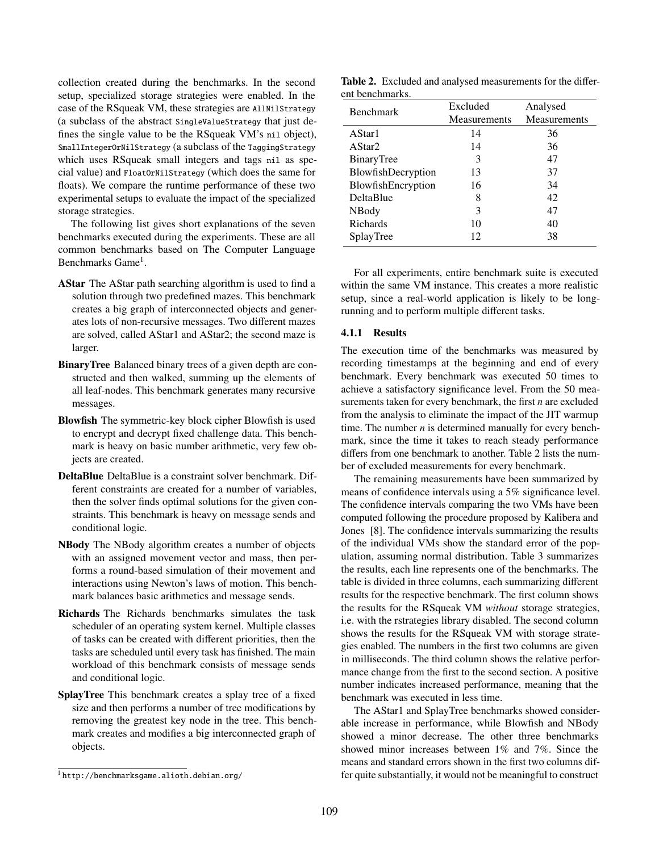collection created during the benchmarks. In the second setup, specialized storage strategies were enabled. In the case of the RSqueak VM, these strategies are AllNilStrategy (a subclass of the abstract SingleValueStrategy that just defines the single value to be the RSqueak VM's nil object), SmallIntegerOrNilStrategy (a subclass of the TaggingStrategy which uses RSqueak small integers and tags nil as special value) and FloatOrNilStrategy (which does the same for floats). We compare the runtime performance of these two experimental setups to evaluate the impact of the specialized storage strategies.

The following list gives short explanations of the seven benchmarks executed during the experiments. These are all common benchmarks based on The Computer Language Benchmarks Game<sup>[1](#page-5-0)</sup>.

- AStar The AStar path searching algorithm is used to find a solution through two predefined mazes. This benchmark creates a big graph of interconnected objects and generates lots of non-recursive messages. Two different mazes are solved, called AStar1 and AStar2; the second maze is larger.
- BinaryTree Balanced binary trees of a given depth are constructed and then walked, summing up the elements of all leaf-nodes. This benchmark generates many recursive messages.
- Blowfish The symmetric-key block cipher Blowfish is used to encrypt and decrypt fixed challenge data. This benchmark is heavy on basic number arithmetic, very few objects are created.
- DeltaBlue DeltaBlue is a constraint solver benchmark. Different constraints are created for a number of variables, then the solver finds optimal solutions for the given constraints. This benchmark is heavy on message sends and conditional logic.
- NBody The NBody algorithm creates a number of objects with an assigned movement vector and mass, then performs a round-based simulation of their movement and interactions using Newton's laws of motion. This benchmark balances basic arithmetics and message sends.
- Richards The Richards benchmarks simulates the task scheduler of an operating system kernel. Multiple classes of tasks can be created with different priorities, then the tasks are scheduled until every task has finished. The main workload of this benchmark consists of message sends and conditional logic.
- SplayTree This benchmark creates a splay tree of a fixed size and then performs a number of tree modifications by removing the greatest key node in the tree. This benchmark creates and modifies a big interconnected graph of objects.

<span id="page-5-1"></span>Table 2. Excluded and analysed measurements for the different benchmarks.

| <b>Benchmark</b>   | Excluded<br>Measurements | Analysed<br>Measurements |
|--------------------|--------------------------|--------------------------|
| AStar1             | 14                       | 36                       |
| AStar2             | 14                       | 36                       |
| BinaryTree         | 3                        | 47                       |
| BlowfishDecryption | 13                       | 37                       |
| BlowfishEncryption | 16                       | 34                       |
| DeltaBlue          | 8                        | 42                       |
| NBody              | 3                        | 47                       |
| Richards           | 10                       | 40                       |
| SplayTree          | 12                       | 38                       |

For all experiments, entire benchmark suite is executed within the same VM instance. This creates a more realistic setup, since a real-world application is likely to be longrunning and to perform multiple different tasks.

#### 4.1.1 Results

The execution time of the benchmarks was measured by recording timestamps at the beginning and end of every benchmark. Every benchmark was executed 50 times to achieve a satisfactory significance level. From the 50 measurements taken for every benchmark, the first *n* are excluded from the analysis to eliminate the impact of the JIT warmup time. The number *n* is determined manually for every benchmark, since the time it takes to reach steady performance differs from one benchmark to another. Table [2](#page-5-1) lists the number of excluded measurements for every benchmark.

The remaining measurements have been summarized by means of confidence intervals using a 5% significance level. The confidence intervals comparing the two VMs have been computed following the procedure proposed by [Kalibera and](#page-9-6) [Jones](#page-9-6) [\[8\]](#page-9-6). The confidence intervals summarizing the results of the individual VMs show the standard error of the population, assuming normal distribution. Table [3](#page-6-0) summarizes the results, each line represents one of the benchmarks. The table is divided in three columns, each summarizing different results for the respective benchmark. The first column shows the results for the RSqueak VM *without* storage strategies, i.e. with the rstrategies library disabled. The second column shows the results for the RSqueak VM with storage strategies enabled. The numbers in the first two columns are given in milliseconds. The third column shows the relative performance change from the first to the second section. A positive number indicates increased performance, meaning that the benchmark was executed in less time.

The AStar1 and SplayTree benchmarks showed considerable increase in performance, while Blowfish and NBody showed a minor decrease. The other three benchmarks showed minor increases between 1% and 7%. Since the means and standard errors shown in the first two columns differ quite substantially, it would not be meaningful to construct

<span id="page-5-0"></span><sup>1</sup> <http://benchmarksgame.alioth.debian.org/>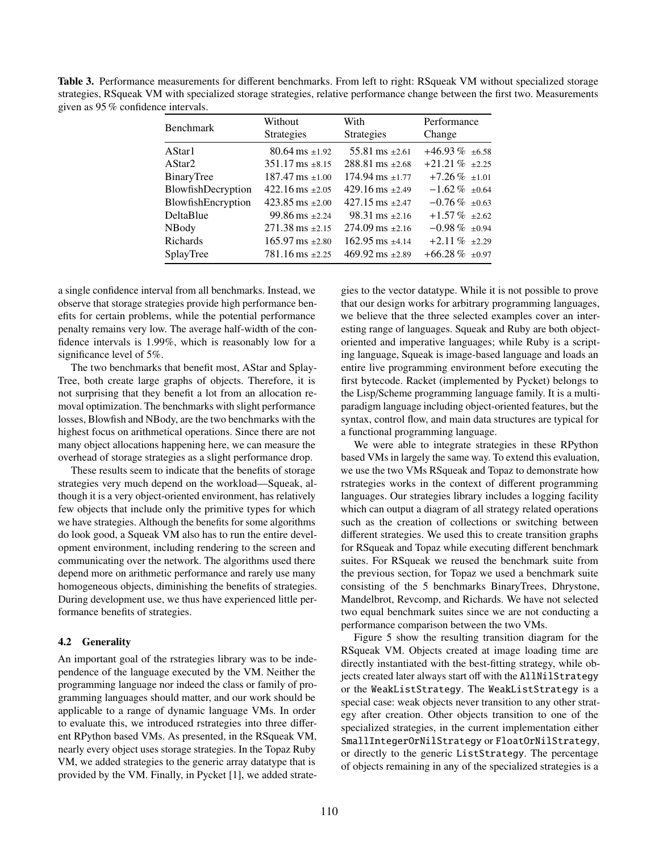<span id="page-6-0"></span>Table 3. Performance measurements for different benchmarks. From left to right: RSqueak VM without specialized storage strategies, RSqueak VM with specialized storage strategies, relative performance change between the first two. Measurements given as 95 % confidence intervals.

|                               |                               | Performance           |  |
|-------------------------------|-------------------------------|-----------------------|--|
| <b>Strategies</b>             | <b>Strategies</b>             | Change                |  |
| $80.64 \text{ ms } \pm 1.92$  | $55.81 \text{ ms } \pm 2.61$  | $+46.93\%$ $\pm 6.58$ |  |
| $351.17 \text{ ms } \pm 8.15$ | $288.81 \text{ ms } +2.68$    | $+21.21\%$ $\pm 2.25$ |  |
| $187.47 \text{ ms } \pm 1.00$ | $174.94 \text{ ms } \pm 1.77$ | $+7.26\%$ $\pm 1.01$  |  |
| $422.16$ ms $\pm 2.05$        | $429.16$ ms $\pm 2.49$        | $-1.62\%$ $\pm 0.64$  |  |
| $423.85$ ms $\pm 2.00$        | $427.15$ ms $+2.47$           | $-0.76\%$ $\pm 0.63$  |  |
| $99.86 \text{ ms } \pm 2.24$  | $98.31 \text{ ms } \pm 2.16$  | $+1.57\%$ $\pm 2.62$  |  |
| $271.38 \text{ ms } \pm 2.15$ | $274.09$ ms $\pm 2.16$        | $-0.98\%$ $\pm 0.94$  |  |
| $165.97 \text{ ms } \pm 2.80$ | $162.95$ ms $+4.14$           | $+2.11\%$ $\pm 2.29$  |  |
| $781.16 \text{ ms } \pm 2.25$ | $469.92 \text{ ms } \pm 2.89$ | $+66.28\%$ $\pm 0.97$ |  |
|                               | Without                       | With                  |  |

a single confidence interval from all benchmarks. Instead, we observe that storage strategies provide high performance benefits for certain problems, while the potential performance penalty remains very low. The average half-width of the confidence intervals is 1.99%, which is reasonably low for a significance level of 5%.

The two benchmarks that benefit most, AStar and Splay-Tree, both create large graphs of objects. Therefore, it is not surprising that they benefit a lot from an allocation removal optimization. The benchmarks with slight performance losses, Blowfish and NBody, are the two benchmarks with the highest focus on arithmetical operations. Since there are not many object allocations happening here, we can measure the overhead of storage strategies as a slight performance drop.

These results seem to indicate that the benefits of storage strategies very much depend on the workload—Squeak, although it is a very object-oriented environment, has relatively few objects that include only the primitive types for which we have strategies. Although the benefits for some algorithms do look good, a Squeak VM also has to run the entire development environment, including rendering to the screen and communicating over the network. The algorithms used there depend more on arithmetic performance and rarely use many homogeneous objects, diminishing the benefits of strategies. During development use, we thus have experienced little performance benefits of strategies.

#### 4.2 Generality

An important goal of the rstrategies library was to be independence of the language executed by the VM. Neither the programming language nor indeed the class or family of programming languages should matter, and our work should be applicable to a range of dynamic language VMs. In order to evaluate this, we introduced rstrategies into three different RPython based VMs. As presented, in the RSqueak VM, nearly every object uses storage strategies. In the Topaz Ruby VM, we added strategies to the generic array datatype that is provided by the VM. Finally, in Pycket [\[1\]](#page-9-7), we added strategies to the vector datatype. While it is not possible to prove that our design works for arbitrary programming languages, we believe that the three selected examples cover an interesting range of languages. Squeak and Ruby are both objectoriented and imperative languages; while Ruby is a scripting language, Squeak is image-based language and loads an entire live programming environment before executing the first bytecode. Racket (implemented by Pycket) belongs to the Lisp/Scheme programming language family. It is a multiparadigm language including object-oriented features, but the syntax, control flow, and main data structures are typical for a functional programming language.

We were able to integrate strategies in these RPython based VMs in largely the same way. To extend this evaluation, we use the two VMs RSqueak and Topaz to demonstrate how rstrategies works in the context of different programming languages. Our strategies library includes a logging facility which can output a diagram of all strategy related operations such as the creation of collections or switching between different strategies. We used this to create transition graphs for RSqueak and Topaz while executing different benchmark suites. For RSqueak we reused the benchmark suite from the previous section, for Topaz we used a benchmark suite consisting of the 5 benchmarks BinaryTrees, Dhrystone, Mandelbrot, Revcomp, and Richards. We have not selected two equal benchmark suites since we are not conducting a performance comparison between the two VMs.

[Figure 5](#page-7-0) show the resulting transition diagram for the RSqueak VM. Objects created at image loading time are directly instantiated with the best-fitting strategy, while objects created later always start off with the AllNilStrategy or the WeakListStrategy. The WeakListStrategy is a special case: weak objects never transition to any other strategy after creation. Other objects transition to one of the specialized strategies, in the current implementation either SmallIntegerOrNilStrategy or FloatOrNilStrategy, or directly to the generic ListStrategy. The percentage of objects remaining in any of the specialized strategies is a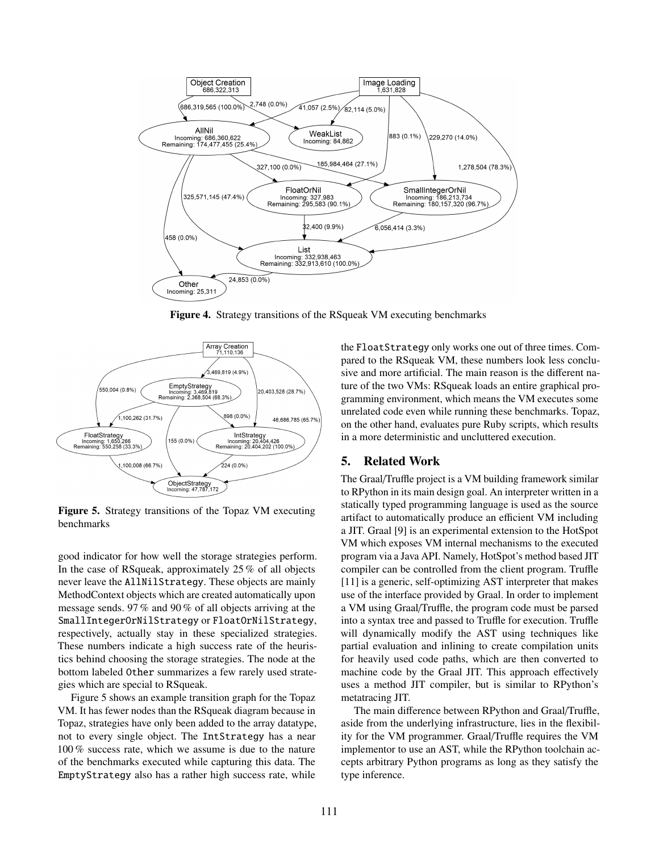

Figure 4. Strategy transitions of the RSqueak VM executing benchmarks



<span id="page-7-0"></span>Figure 5. Strategy transitions of the Topaz VM executing benchmarks

good indicator for how well the storage strategies perform. In the case of RSqueak, approximately 25 % of all objects never leave the AllNilStrategy. These objects are mainly MethodContext objects which are created automatically upon message sends. 97 % and 90 % of all objects arriving at the SmallIntegerOrNilStrategy or FloatOrNilStrategy, respectively, actually stay in these specialized strategies. These numbers indicate a high success rate of the heuristics behind choosing the storage strategies. The node at the bottom labeled Other summarizes a few rarely used strategies which are special to RSqueak.

[Figure 5](#page-7-0) shows an example transition graph for the Topaz VM. It has fewer nodes than the RSqueak diagram because in Topaz, strategies have only been added to the array datatype, not to every single object. The IntStrategy has a near 100 % success rate, which we assume is due to the nature of the benchmarks executed while capturing this data. The EmptyStrategy also has a rather high success rate, while

the FloatStrategy only works one out of three times. Compared to the RSqueak VM, these numbers look less conclusive and more artificial. The main reason is the different nature of the two VMs: RSqueak loads an entire graphical programming environment, which means the VM executes some unrelated code even while running these benchmarks. Topaz, on the other hand, evaluates pure Ruby scripts, which results in a more deterministic and uncluttered execution.

## 5. Related Work

The Graal/Truffle project is a VM building framework similar to RPython in its main design goal. An interpreter written in a statically typed programming language is used as the source artifact to automatically produce an efficient VM including a JIT. Graal [\[9\]](#page-9-8) is an experimental extension to the HotSpot VM which exposes VM internal mechanisms to the executed program via a Java API. Namely, HotSpot's method based JIT compiler can be controlled from the client program. Truffle [\[11\]](#page-9-9) is a generic, self-optimizing AST interpreter that makes use of the interface provided by Graal. In order to implement a VM using Graal/Truffle, the program code must be parsed into a syntax tree and passed to Truffle for execution. Truffle will dynamically modify the AST using techniques like partial evaluation and inlining to create compilation units for heavily used code paths, which are then converted to machine code by the Graal JIT. This approach effectively uses a method JIT compiler, but is similar to RPython's metatracing JIT.

The main difference between RPython and Graal/Truffle, aside from the underlying infrastructure, lies in the flexibility for the VM programmer. Graal/Truffle requires the VM implementor to use an AST, while the RPython toolchain accepts arbitrary Python programs as long as they satisfy the type inference.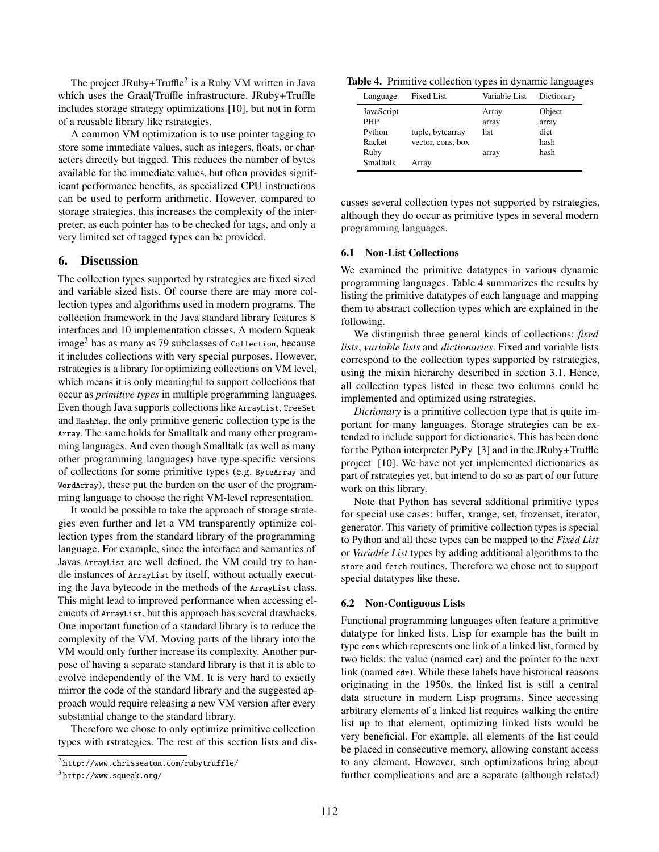The project JRuby+Truffle<sup>[2](#page-8-1)</sup> is a Ruby VM written in Java which uses the Graal/Truffle infrastructure. JRuby+Truffle includes storage strategy optimizations [\[10\]](#page-9-10), but not in form of a reusable library like rstrategies.

A common VM optimization is to use pointer tagging to store some immediate values, such as integers, floats, or characters directly but tagged. This reduces the number of bytes available for the immediate values, but often provides significant performance benefits, as specialized CPU instructions can be used to perform arithmetic. However, compared to storage strategies, this increases the complexity of the interpreter, as each pointer has to be checked for tags, and only a very limited set of tagged types can be provided.

## <span id="page-8-0"></span>6. Discussion

The collection types supported by rstrategies are fixed sized and variable sized lists. Of course there are may more collection types and algorithms used in modern programs. The collection framework in the Java standard library features 8 interfaces and 10 implementation classes. A modern Squeak image<sup>[3](#page-8-2)</sup> has as many as 79 subclasses of Collection, because it includes collections with very special purposes. However, rstrategies is a library for optimizing collections on VM level, which means it is only meaningful to support collections that occur as *primitive types* in multiple programming languages. Even though Java supports collections like ArrayList, TreeSet and HashMap, the only primitive generic collection type is the Array. The same holds for Smalltalk and many other programming languages. And even though Smalltalk (as well as many other programming languages) have type-specific versions of collections for some primitive types (e.g. ByteArray and WordArray), these put the burden on the user of the programming language to choose the right VM-level representation.

It would be possible to take the approach of storage strategies even further and let a VM transparently optimize collection types from the standard library of the programming language. For example, since the interface and semantics of Javas ArrayList are well defined, the VM could try to handle instances of ArrayList by itself, without actually executing the Java bytecode in the methods of the ArrayList class. This might lead to improved performance when accessing elements of ArrayList, but this approach has several drawbacks. One important function of a standard library is to reduce the complexity of the VM. Moving parts of the library into the VM would only further increase its complexity. Another purpose of having a separate standard library is that it is able to evolve independently of the VM. It is very hard to exactly mirror the code of the standard library and the suggested approach would require releasing a new VM version after every substantial change to the standard library.

Therefore we chose to only optimize primitive collection types with rstrategies. The rest of this section lists and dis-

Table 4. Primitive collection types in dynamic languages

<span id="page-8-3"></span>

| Language                                                          | Fixed List                                     | Variable List                   | Dictionary                              |
|-------------------------------------------------------------------|------------------------------------------------|---------------------------------|-----------------------------------------|
| JavaScript<br><b>PHP</b><br>Python<br>Racket<br>Ruby<br>Smalltalk | tuple, bytearray<br>vector, cons, box<br>Array | Array<br>array<br>list<br>array | Object<br>array<br>dict<br>hash<br>hash |

cusses several collection types not supported by rstrategies, although they do occur as primitive types in several modern programming languages.

## 6.1 Non-List Collections

We examined the primitive datatypes in various dynamic programming languages. Table [4](#page-8-3) summarizes the results by listing the primitive datatypes of each language and mapping them to abstract collection types which are explained in the following.

We distinguish three general kinds of collections: *fixed lists*, *variable lists* and *dictionaries*. Fixed and variable lists correspond to the collection types supported by rstrategies, using the mixin hierarchy described in [section 3.1.](#page-3-1) Hence, all collection types listed in these two columns could be implemented and optimized using rstrategies.

*Dictionary* is a primitive collection type that is quite important for many languages. Storage strategies can be extended to include support for dictionaries. This has been done for the Python interpreter PyPy [\[3\]](#page-9-0) and in the JRuby+Truffle project [\[10\]](#page-9-10). We have not yet implemented dictionaries as part of rstrategies yet, but intend to do so as part of our future work on this library.

Note that Python has several additional primitive types for special use cases: buffer, xrange, set, frozenset, iterator, generator. This variety of primitive collection types is special to Python and all these types can be mapped to the *Fixed List* or *Variable List* types by adding additional algorithms to the store and fetch routines. Therefore we chose not to support special datatypes like these.

#### 6.2 Non-Contiguous Lists

Functional programming languages often feature a primitive datatype for linked lists. Lisp for example has the built in type cons which represents one link of a linked list, formed by two fields: the value (named car) and the pointer to the next link (named cdr). While these labels have historical reasons originating in the 1950s, the linked list is still a central data structure in modern Lisp programs. Since accessing arbitrary elements of a linked list requires walking the entire list up to that element, optimizing linked lists would be very beneficial. For example, all elements of the list could be placed in consecutive memory, allowing constant access to any element. However, such optimizations bring about further complications and are a separate (although related)

<span id="page-8-1"></span><sup>2</sup> <http://www.chrisseaton.com/rubytruffle/>

<span id="page-8-2"></span> $3$ <http://www.squeak.org/>